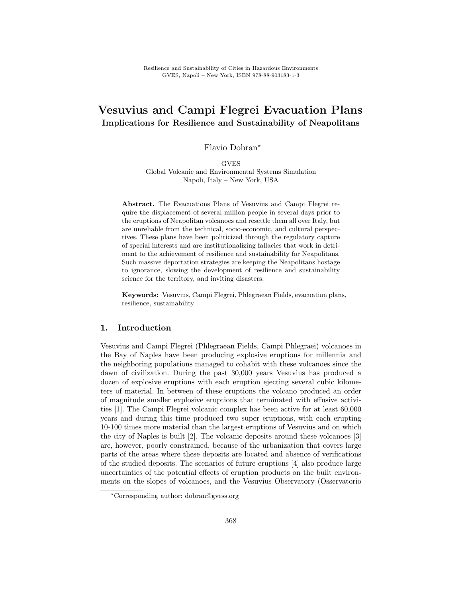# Vesuvius and Campi Flegrei Evacuation Plans Implications for Resilience and Sustainability of Neapolitans

Flavio Dobran?

**GVES** Global Volcanic and Environmental Systems Simulation Napoli, Italy – New York, USA

Abstract. The Evacuations Plans of Vesuvius and Campi Flegrei require the displacement of several million people in several days prior to the eruptions of Neapolitan volcanoes and resettle them all over Italy, but are unreliable from the technical, socio-economic, and cultural perspectives. These plans have been politicized through the regulatory capture of special interests and are institutionalizing fallacies that work in detriment to the achievement of resilience and sustainability for Neapolitans. Such massive deportation strategies are keeping the Neapolitans hostage to ignorance, slowing the development of resilience and sustainability science for the territory, and inviting disasters.

Keywords: Vesuvius, Campi Flegrei, Phlegraean Fields, evacuation plans, resilience, sustainability

## 1. Introduction

Vesuvius and Campi Flegrei (Phlegraean Fields, Campi Phlegraei) volcanoes in the Bay of Naples have been producing explosive eruptions for millennia and the neighboring populations managed to cohabit with these volcanoes since the dawn of civilization. During the past 30,000 years Vesuvius has produced a dozen of explosive eruptions with each eruption ejecting several cubic kilometers of material. In between of these eruptions the volcano produced an order of magnitude smaller explosive eruptions that terminated with effusive activities [1]. The Campi Flegrei volcanic complex has been active for at least 60,000 years and during this time produced two super eruptions, with each erupting 10-100 times more material than the largest eruptions of Vesuvius and on which the city of Naples is built [2]. The volcanic deposits around these volcanoes [3] are, however, poorly constrained, because of the urbanization that covers large parts of the areas where these deposits are located and absence of verifications of the studied deposits. The scenarios of future eruptions [4] also produce large uncertainties of the potential effects of eruption products on the built environments on the slopes of volcanoes, and the Vesuvius Observatory (Osservatorio

<sup>?</sup>Corresponding author: dobran@gvess.org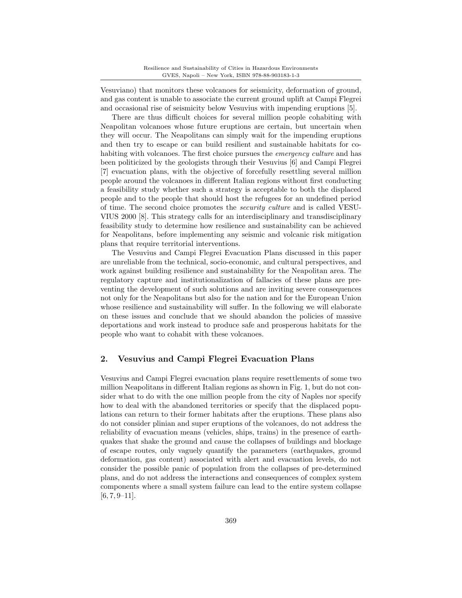Vesuviano) that monitors these volcanoes for seismicity, deformation of ground, and gas content is unable to associate the current ground uplift at Campi Flegrei and occasional rise of seismicity below Vesuvius with impending eruptions [5].

There are thus difficult choices for several million people cohabiting with Neapolitan volcanoes whose future eruptions are certain, but uncertain when they will occur. The Neapolitans can simply wait for the impending eruptions and then try to escape or can build resilient and sustainable habitats for cohabiting with volcanoes. The first choice pursues the *emergency culture* and has been politicized by the geologists through their Vesuvius [6] and Campi Flegrei [7] evacuation plans, with the objective of forcefully resettling several million people around the volcanoes in different Italian regions without first conducting a feasibility study whether such a strategy is acceptable to both the displaced people and to the people that should host the refugees for an undefined period of time. The second choice promotes the security culture and is called VESU-VIUS 2000 [8]. This strategy calls for an interdisciplinary and transdisciplinary feasibility study to determine how resilience and sustainability can be achieved for Neapolitans, before implementing any seismic and volcanic risk mitigation plans that require territorial interventions.

The Vesuvius and Campi Flegrei Evacuation Plans discussed in this paper are unreliable from the technical, socio-economic, and cultural perspectives, and work against building resilience and sustainability for the Neapolitan area. The regulatory capture and institutionalization of fallacies of these plans are preventing the development of such solutions and are inviting severe consequences not only for the Neapolitans but also for the nation and for the European Union whose resilience and sustainability will suffer. In the following we will elaborate on these issues and conclude that we should abandon the policies of massive deportations and work instead to produce safe and prosperous habitats for the people who want to cohabit with these volcanoes.

## 2. Vesuvius and Campi Flegrei Evacuation Plans

Vesuvius and Campi Flegrei evacuation plans require resettlements of some two million Neapolitans in different Italian regions as shown in Fig. 1, but do not consider what to do with the one million people from the city of Naples nor specify how to deal with the abandoned territories or specify that the displaced populations can return to their former habitats after the eruptions. These plans also do not consider plinian and super eruptions of the volcanoes, do not address the reliability of evacuation means (vehicles, ships, trains) in the presence of earthquakes that shake the ground and cause the collapses of buildings and blockage of escape routes, only vaguely quantify the parameters (earthquakes, ground deformation, gas content) associated with alert and evacuation levels, do not consider the possible panic of population from the collapses of pre-determined plans, and do not address the interactions and consequences of complex system components where a small system failure can lead to the entire system collapse  $[6, 7, 9-11]$ .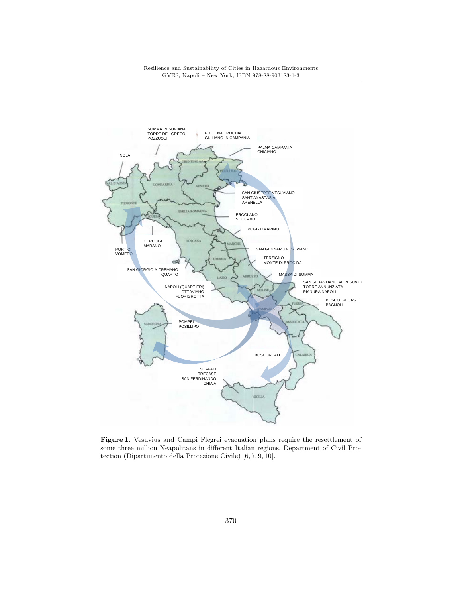

Figure 1. Vesuvius and Campi Flegrei evacuation plans require the resettlement of some three million Neapolitans in different Italian regions. Department of Civil Protection (Dipartimento della Protezione Civile) [6, 7, 9, 10].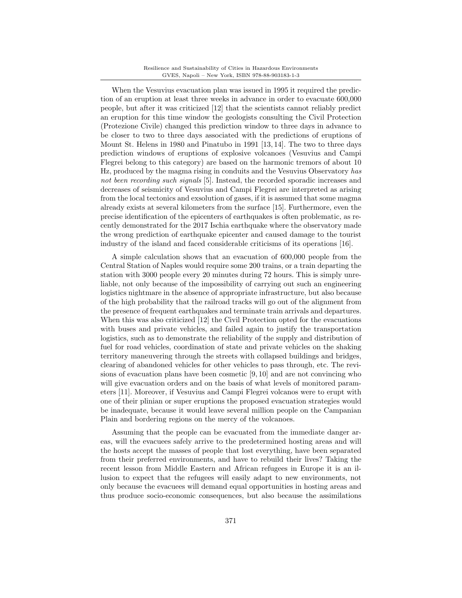When the Vesuvius evacuation plan was issued in 1995 it required the prediction of an eruption at least three weeks in advance in order to evacuate 600,000 people, but after it was criticized [12] that the scientists cannot reliably predict an eruption for this time window the geologists consulting the Civil Protection (Protezione Civile) changed this prediction window to three days in advance to be closer to two to three days associated with the predictions of eruptions of Mount St. Helens in 1980 and Pinatubo in 1991 [13, 14]. The two to three days prediction windows of eruptions of explosive volcanoes (Vesuvius and Campi Flegrei belong to this category) are based on the harmonic tremors of about 10 Hz, produced by the magma rising in conduits and the Vesuvius Observatory has not been recording such signals [5]. Instead, the recorded sporadic increases and decreases of seismicity of Vesuvius and Campi Flegrei are interpreted as arising from the local tectonics and exsolution of gases, if it is assumed that some magma already exists at several kilometers from the surface [15]. Furthermore, even the precise identification of the epicenters of earthquakes is often problematic, as recently demonstrated for the 2017 Ischia earthquake where the observatory made the wrong prediction of earthquake epicenter and caused damage to the tourist industry of the island and faced considerable criticisms of its operations [16].

A simple calculation shows that an evacuation of 600,000 people from the Central Station of Naples would require some 200 trains, or a train departing the station with 3000 people every 20 minutes during 72 hours. This is simply unreliable, not only because of the impossibility of carrying out such an engineering logistics nightmare in the absence of appropriate infrastructure, but also because of the high probability that the railroad tracks will go out of the alignment from the presence of frequent earthquakes and terminate train arrivals and departures. When this was also criticized [12] the Civil Protection opted for the evacuations with buses and private vehicles, and failed again to justify the transportation logistics, such as to demonstrate the reliability of the supply and distribution of fuel for road vehicles, coordination of state and private vehicles on the shaking territory maneuvering through the streets with collapsed buildings and bridges, clearing of abandoned vehicles for other vehicles to pass through, etc. The revisions of evacuation plans have been cosmetic [9, 10] and are not convincing who will give evacuation orders and on the basis of what levels of monitored parameters [11]. Moreover, if Vesuvius and Campi Flegrei volcanos were to erupt with one of their plinian or super eruptions the proposed evacuation strategies would be inadequate, because it would leave several million people on the Campanian Plain and bordering regions on the mercy of the volcanoes.

Assuming that the people can be evacuated from the immediate danger areas, will the evacuees safely arrive to the predetermined hosting areas and will the hosts accept the masses of people that lost everything, have been separated from their preferred environments, and have to rebuild their lives? Taking the recent lesson from Middle Eastern and African refugees in Europe it is an illusion to expect that the refugees will easily adapt to new environments, not only because the evacuees will demand equal opportunities in hosting areas and thus produce socio-economic consequences, but also because the assimilations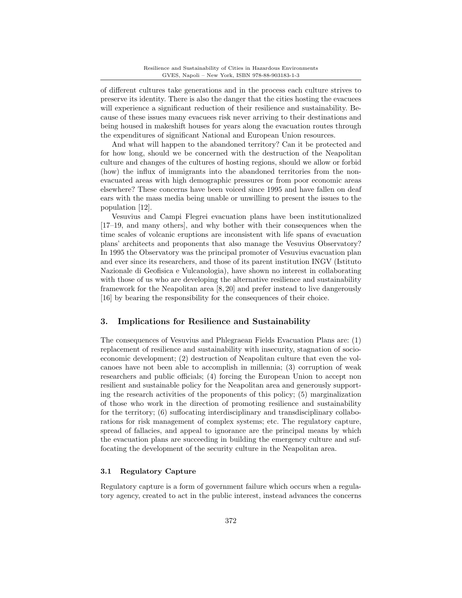of different cultures take generations and in the process each culture strives to preserve its identity. There is also the danger that the cities hosting the evacuees will experience a significant reduction of their resilience and sustainability. Because of these issues many evacuees risk never arriving to their destinations and being housed in makeshift houses for years along the evacuation routes through the expenditures of significant National and European Union resources.

And what will happen to the abandoned territory? Can it be protected and for how long, should we be concerned with the destruction of the Neapolitan culture and changes of the cultures of hosting regions, should we allow or forbid (how) the influx of immigrants into the abandoned territories from the nonevacuated areas with high demographic pressures or from poor economic areas elsewhere? These concerns have been voiced since 1995 and have fallen on deaf ears with the mass media being unable or unwilling to present the issues to the population [12].

Vesuvius and Campi Flegrei evacuation plans have been institutionalized [17–19, and many others], and why bother with their consequences when the time scales of volcanic eruptions are inconsistent with life spans of evacuation plans' architects and proponents that also manage the Vesuvius Observatory? In 1995 the Observatory was the principal promoter of Vesuvius evacuation plan and ever since its researchers, and those of its parent institution INGV (Istituto Nazionale di Geofisica e Vulcanologia), have shown no interest in collaborating with those of us who are developing the alternative resilience and sustainability framework for the Neapolitan area [8, 20] and prefer instead to live dangerously [16] by bearing the responsibility for the consequences of their choice.

## 3. Implications for Resilience and Sustainability

The consequences of Vesuvius and Phlegraean Fields Evacuation Plans are: (1) replacement of resilience and sustainability with insecurity, stagnation of socioeconomic development; (2) destruction of Neapolitan culture that even the volcanoes have not been able to accomplish in millennia; (3) corruption of weak researchers and public officials; (4) forcing the European Union to accept non resilient and sustainable policy for the Neapolitan area and generously supporting the research activities of the proponents of this policy; (5) marginalization of those who work in the direction of promoting resilience and sustainability for the territory; (6) suffocating interdisciplinary and transdisciplinary collaborations for risk management of complex systems; etc. The regulatory capture, spread of fallacies, and appeal to ignorance are the principal means by which the evacuation plans are succeeding in building the emergency culture and suffocating the development of the security culture in the Neapolitan area.

#### 3.1 Regulatory Capture

Regulatory capture is a form of government failure which occurs when a regulatory agency, created to act in the public interest, instead advances the concerns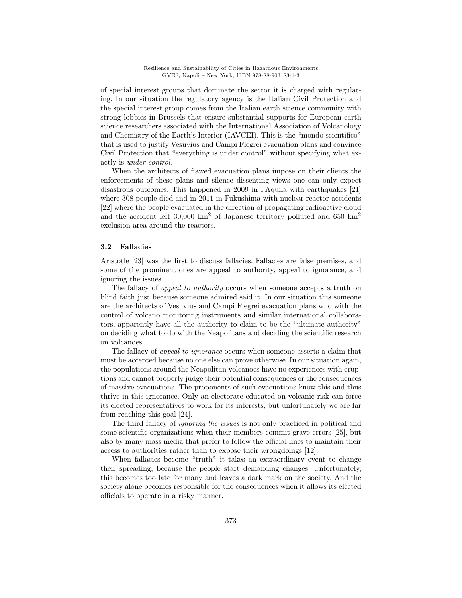of special interest groups that dominate the sector it is charged with regulating. In our situation the regulatory agency is the Italian Civil Protection and the special interest group comes from the Italian earth science community with strong lobbies in Brussels that ensure substantial supports for European earth science researchers associated with the International Association of Volcanology and Chemistry of the Earth's Interior (IAVCEI). This is the "mondo scientifico" that is used to justify Vesuvius and Campi Flegrei evacuation plans and convince Civil Protection that "everything is under control" without specifying what exactly is under control.

When the architects of flawed evacuation plans impose on their clients the enforcements of these plans and silence dissenting views one can only expect disastrous outcomes. This happened in 2009 in l'Aquila with earthquakes [21] where 308 people died and in 2011 in Fukushima with nuclear reactor accidents [22] where the people evacuated in the direction of propagating radioactive cloud and the accident left  $30,000 \text{ km}^2$  of Japanese territory polluted and 650 km<sup>2</sup> exclusion area around the reactors.

## 3.2 Fallacies

Aristotle [23] was the first to discuss fallacies. Fallacies are false premises, and some of the prominent ones are appeal to authority, appeal to ignorance, and ignoring the issues.

The fallacy of *appeal to authority* occurs when someone accepts a truth on blind faith just because someone admired said it. In our situation this someone are the architects of Vesuvius and Campi Flegrei evacuation plans who with the control of volcano monitoring instruments and similar international collaborators, apparently have all the authority to claim to be the "ultimate authority" on deciding what to do with the Neapolitans and deciding the scientific research on volcanoes.

The fallacy of appeal to ignorance occurs when someone asserts a claim that must be accepted because no one else can prove otherwise. In our situation again, the populations around the Neapolitan volcanoes have no experiences with eruptions and cannot properly judge their potential consequences or the consequences of massive evacuations. The proponents of such evacuations know this and thus thrive in this ignorance. Only an electorate educated on volcanic risk can force its elected representatives to work for its interests, but unfortunately we are far from reaching this goal [24].

The third fallacy of ignoring the issues is not only practiced in political and some scientific organizations when their members commit grave errors [25], but also by many mass media that prefer to follow the official lines to maintain their access to authorities rather than to expose their wrongdoings [12].

When fallacies become "truth" it takes an extraordinary event to change their spreading, because the people start demanding changes. Unfortunately, this becomes too late for many and leaves a dark mark on the society. And the society alone becomes responsible for the consequences when it allows its elected officials to operate in a risky manner.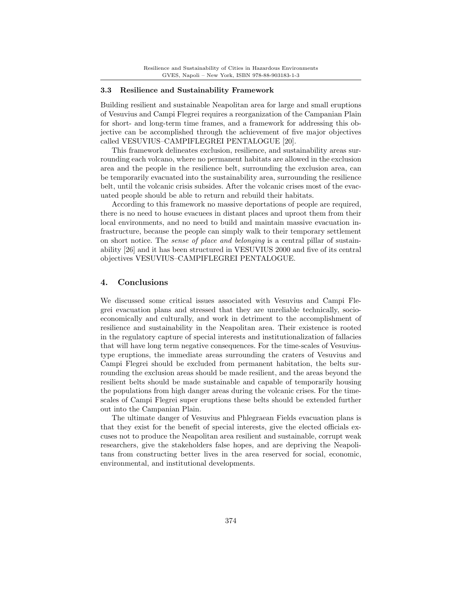## 3.3 Resilience and Sustainability Framework

Building resilient and sustainable Neapolitan area for large and small eruptions of Vesuvius and Campi Flegrei requires a reorganization of the Campanian Plain for short- and long-term time frames, and a framework for addressing this objective can be accomplished through the achievement of five major objectives called VESUVIUS–CAMPIFLEGREI PENTALOGUE [20].

This framework delineates exclusion, resilience, and sustainability areas surrounding each volcano, where no permanent habitats are allowed in the exclusion area and the people in the resilience belt, surrounding the exclusion area, can be temporarily evacuated into the sustainability area, surrounding the resilience belt, until the volcanic crisis subsides. After the volcanic crises most of the evacuated people should be able to return and rebuild their habitats.

According to this framework no massive deportations of people are required, there is no need to house evacuees in distant places and uproot them from their local environments, and no need to build and maintain massive evacuation infrastructure, because the people can simply walk to their temporary settlement on short notice. The sense of place and belonging is a central pillar of sustainability [26] and it has been structured in VESUVIUS 2000 and five of its central objectives VESUVIUS–CAMPIFLEGREI PENTALOGUE.

## 4. Conclusions

We discussed some critical issues associated with Vesuvius and Campi Flegrei evacuation plans and stressed that they are unreliable technically, socioeconomically and culturally, and work in detriment to the accomplishment of resilience and sustainability in the Neapolitan area. Their existence is rooted in the regulatory capture of special interests and institutionalization of fallacies that will have long term negative consequences. For the time-scales of Vesuviustype eruptions, the immediate areas surrounding the craters of Vesuvius and Campi Flegrei should be excluded from permanent habitation, the belts surrounding the exclusion areas should be made resilient, and the areas beyond the resilient belts should be made sustainable and capable of temporarily housing the populations from high danger areas during the volcanic crises. For the timescales of Campi Flegrei super eruptions these belts should be extended further out into the Campanian Plain.

The ultimate danger of Vesuvius and Phlegraean Fields evacuation plans is that they exist for the benefit of special interests, give the elected officials excuses not to produce the Neapolitan area resilient and sustainable, corrupt weak researchers, give the stakeholders false hopes, and are depriving the Neapolitans from constructing better lives in the area reserved for social, economic, environmental, and institutional developments.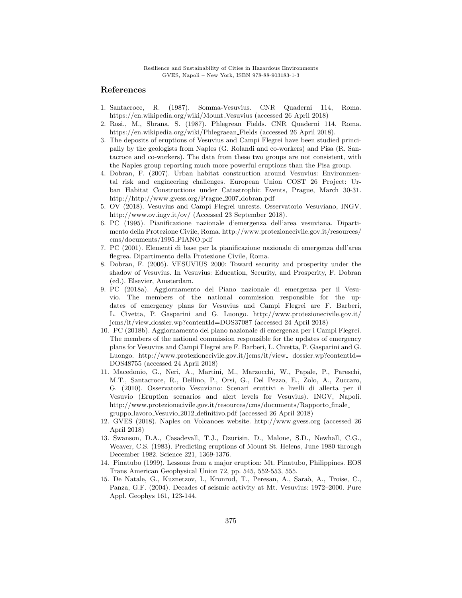# References

- 1. Santacroce, R. (1987). Somma-Vesuvius. CNR Quaderni 114, Roma. https://en.wikipedia.org/wiki/Mount Vesuvius (accessed 26 April 2018)
- 2. Rosi., M., Sbrana, S. (1987). Phlegrean Fields. CNR Quaderni 114, Roma. https://en.wikipedia.org/wiki/Phlegraean Fields (accessed 26 April 2018).
- 3. The deposits of eruptions of Vesuvius and Campi Flegrei have been studied principally by the geologists from Naples (G. Rolandi and co-workers) and Pisa (R. Santacroce and co-workers). The data from these two groups are not consistent, with the Naples group reporting much more powerful eruptions than the Pisa group.
- 4. Dobran, F. (2007). Urban habitat construction around Vesuvius: Environmental risk and engineering challenges. European Union COST 26 Project: Urban Habitat Constructions under Catastrophic Events, Prague, March 30-31. http://http://www.gvess.org/Prague 2007 dobran.pdf
- 5. OV (2018). Vesuvius and Campi Flegrei unrests. Osservatorio Vesuviano, INGV. http://www.ov.ingv.it/ov/ (Accessed 23 September 2018).
- 6. PC (1995). Pianificazione nazionale d'emergenza dell'area vesuviana. Dipartimento della Protezione Civile, Roma. http://www.protezionecivile.gov.it/resources/ cms/documents/1995 PIANO.pdf
- 7. PC (2001). Elementi di base per la pianificazione nazionale di emergenza dell'area flegrea. Dipartimento della Protezione Civile, Roma.
- 8. Dobran, F. (2006). VESUVIUS 2000: Toward security and prosperity under the shadow of Vesuvius. In Vesuvius: Education, Security, and Prosperity, F. Dobran (ed.). Elsevier, Amsterdam.
- 9. PC (2018a). Aggiornamento del Piano nazionale di emergenza per il Vesuvio. The members of the national commission responsible for the updates of emergency plans for Vesuvius and Campi Flegrei are F. Barberi, L. Civetta, P. Gasparini and G. Luongo. http://www.protezionecivile.gov.it/ jcms/it/view dossier.wp?contentId=DOS37087 (accessed 24 April 2018)
- 10. PC (2018b). Aggiornamento del piano nazionale di emergenza per i Campi Flegrei. The members of the national commission responsible for the updates of emergency plans for Vesuvius and Campi Flegrei are F. Barberi, L. Civetta, P. Gasparini and G. Luongo. http://www.protezionecivile.gov.it/jcms/it/view\_dossier.wp?contentId= DOS48755 (accessed 24 April 2018)
- 11. Macedonio, G., Neri, A., Martini, M., Marzocchi, W., Papale, P., Pareschi, M.T., Santacroce, R., Dellino, P., Orsi, G., Del Pezzo, E., Zolo, A., Zuccaro, G. (2010). Osservatorio Vesuviano: Scenari eruttivi e livelli di allerta per il Vesuvio (Eruption scenarios and alert levels for Vesuvius). INGV, Napoli. http://www.protezionecivile.gov.it/resources/cms/documents/Rapporto finale gruppo lavoro Vesuvio 2012 definitivo.pdf (accessed 26 April 2018)
- 12. GVES (2018). Naples on Volcanoes website. http://www.gvess.org (accessed 26 April 2018)
- 13. Swanson, D.A., Casadevall, T.J., Dzurisin, D., Malone, S.D., Newhall, C.G., Weaver, C.S. (1983). Predicting eruptions of Mount St. Helens, June 1980 through December 1982. Science 221, 1369-1376.
- 14. Pinatubo (1999). Lessons from a major eruption: Mt. Pinatubo, Philippines. EOS Trans American Geophysical Union 72, pp. 545, 552-553, 555.
- 15. De Natale, G., Kuznetzov, I., Kronrod, T., Peresan, A., Saraò, A., Troise, C., Panza, G.F. (2004). Decades of seismic activity at Mt. Vesuvius: 1972–2000. Pure Appl. Geophys 161, 123-144.